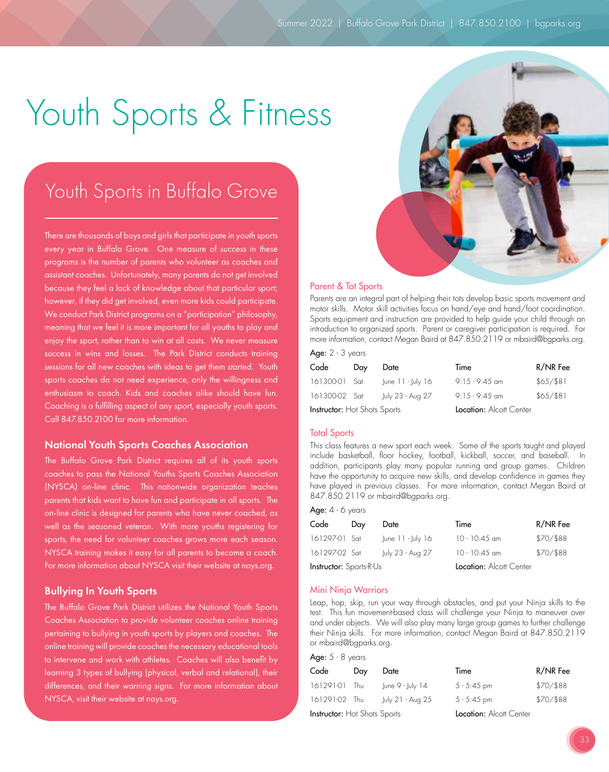# Youth Sports & Fitness

## Youth Sports in Buffalo Grove

There are thousands of boys and girls that participate in youth sports every year in Buffalo Grove. One measure of success in these programs is the number of parents who volunteer as coaches and assistant coaches. Unfortunately, many parents do not get involved because they feel a lack of knowledge about that particular sport; however, if they did get involved, even more kids could participate. We conduct Park District programs on a "participation" philosophy, meaning that we feel it is more important for all youths to play and enjoy the sport, rather than to win at all costs. We never measure success in wins and losses. The Park District conducts training sessions for all new coaches with ideas to get them started. Youth sports coaches do not need experience, only the willingness and enthusiasm to coach. Kids and coaches alike should have fun. Coaching is a fulfilling aspect of any sport, especially youth sports. Call 847.850.2100 for more information.

#### National Youth Sports Coaches Association

The Buffalo Grove Park District requires all of its youth sports coaches to pass the National Youths Sports Coaches Association (NYSCA) on-line clinic. This nationwide organization teaches parents that kids want to have fun and participate in all sports. The on-line clinic is designed for parents who have never coached, as well as the seasoned veteran. With more youths registering for sports, the need for volunteer coaches grows more each season. NYSCA training makes it easy for all parents to become a coach. For more information about NYSCA visit their website at nays.org.

#### Bullying In Youth Sports

The Buffalo Grove Park District utilizes the National Youth Sports Coaches Association to provide volunteer coaches online training pertaining to bullying in youth sports by players and coaches. The online training will provide coaches the necessary educational tools to intervene and work with athletes. Coaches will also benefit by learning 3 types of bullying (physical, verbal and relational), their differences, and their warning signs. For more information about NYSCA, visit their website at nays.org.

#### Parent & Tot Sports

Parents are an integral part of helping their tots develop basic sports movement and motor skills. Motor skill activities focus on hand/eye and hand/foot coordination. Sports equipment and instruction are provided to help guide your child through an introduction to organized sports. Parent or caregiver participation is required. For more information, contact Megan Baird at 847.850.2119 or mbaird@bgparks.org.  $\Delta$ ge:  $2 - 3$  years

| Ayu. 2 vyuns                        |     |                     |                         |             |  |
|-------------------------------------|-----|---------------------|-------------------------|-------------|--|
| Code                                | Day | Date                | Time                    | R/NR Fee    |  |
| 161300-01 Sat                       |     | $ une 11 - July 16$ | $9:15 - 9:45$ am        | $$65/$ \$81 |  |
| 161300-02 Sat                       |     | July 23 - Aug 27    | $9:15 - 9:45$ am        | $$65/$ \$81 |  |
| <b>Instructor:</b> Hot Shots Sports |     |                     | Location: Alcott Center |             |  |

#### Total Sports

This class features a new sport each week. Some of the sports taught and played include basketball, floor hockey, football, kickball, soccer, and baseball. In addition, participants play many popular running and group games. Children have the opportunity to acquire new skills, and develop confidence in games they have played in previous classes. For more information, contact Megan Baird at 847.850.2119 or mbaird@bgparks.org.

|  |  | <b>Age:</b> 4 - 6 years |
|--|--|-------------------------|
|  |  |                         |

| Code                           | Day | Date                  | Time                    | R/NR Fee  |
|--------------------------------|-----|-----------------------|-------------------------|-----------|
| 161297-01 Sat                  |     | June $11 -$ July $16$ | $10 - 10:45$ am         | \$70/\$88 |
| 161297-02 Sat                  |     | July 23 - Aug 27      | $10 - 10:45$ am         | \$70/\$88 |
| <b>Instructor:</b> Sports-R-Us |     |                       | Location: Alcott Center |           |

#### Mini Ninja Warriors

Leap, hop, skip, run your way through obstacles, and put your Ninja skills to the test. This fun movement-based class will challenge your Ninja to maneuver over and under objects. We will also play many large group games to further challenge their Ninja skills. For more information, contact Megan Baird at 847.850.2119 or mbaird@bgparks.org.

| Age: $5 - 8$ years |     |                  |               |           |  |  |
|--------------------|-----|------------------|---------------|-----------|--|--|
| Code               | Day | Date             | Time          | R/NR Fee  |  |  |
| 161291-01 Thu      |     | June 9 - July 14 | $5 - 5:45$ pm | \$70/\$88 |  |  |
| 161291-02 Thu      |     | July 21 - Aug 25 | $5 - 5:45$ pm | \$70/\$88 |  |  |

Instructor: Hot Shots Sports Location: Alcott Center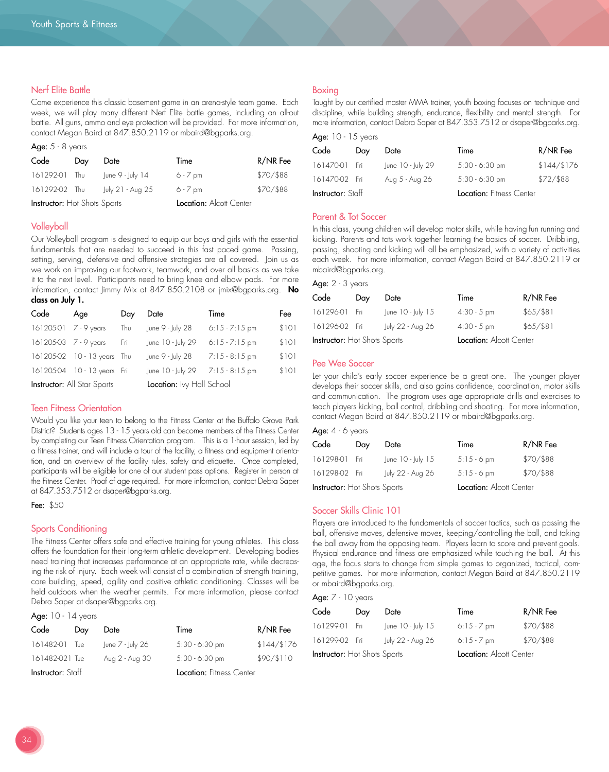#### Nerf Elite Battle

Come experience this classic basement game in an arena-style team game. Each week, we will play many different Nerf Elite battle games, including an all-out battle. All guns, ammo and eye protection will be provided. For more information, contact Megan Baird at 847.850.2119 or mbaird@bgparks.org.

#### Age:  $5 - 8$  years

| Code                                | Day | Date             | Time                    | R/NR Fee  |
|-------------------------------------|-----|------------------|-------------------------|-----------|
| 161292-01 Thu                       |     | June 9 - July 14 | $6 - 7$ pm              | \$70/\$88 |
| 161292-02 Thu                       |     | July 21 - Aug 25 | $6 - 7$ pm              | \$70/\$88 |
| <b>Instructor:</b> Hot Shots Sports |     |                  | Location: Alcott Center |           |

#### Volleyball

Our Volleyball program is designed to equip our boys and girls with the essential fundamentals that are needed to succeed in this fast paced game. Passing, setting, serving, defensive and offensive strategies are all covered. Join us as we work on improving our footwork, teamwork, and over all basics as we take it to the next level. Participants need to bring knee and elbow pads. For more information, contact Jimmy Mix at 847.850.2108 or jmix@bgparks.org. No class on July 1.

| Code                                                            | Age                         | Day | Date              | Time             | Fee   |
|-----------------------------------------------------------------|-----------------------------|-----|-------------------|------------------|-------|
| 161205-01 7 - 9 years                                           |                             | Thu | June 9 - July 28  | $6:15 - 7:15$ pm | \$101 |
| 161205-03 7 - 9 years                                           |                             | Fri | June 10 - July 29 | $6:15 - 7:15$ pm | \$101 |
|                                                                 | 161205-02 10 - 13 years Thu |     | June 9 - July 28  | $7:15 - 8:15$ pm | \$101 |
|                                                                 | 161205-04 10 - 13 years Fri |     | June 10 - July 29 | $7:15 - 8:15$ pm | \$101 |
| <b>Instructor:</b> All Star Sports<br>Location: Ivy Hall School |                             |     |                   |                  |       |

#### Teen Fitness Orientation

Would you like your teen to belong to the Fitness Center at the Buffalo Grove Park District? Students ages 13 - 15 years old can become members of the Fitness Center by completing our Teen Fitness Orientation program. This is a 1-hour session, led by a fitness trainer, and will include a tour of the facility, a fitness and equipment orientation, and an overview of the facility rules, safety and etiquette. Once completed, participants will be eligible for one of our student pass options. Register in person at the Fitness Center. Proof of age required. For more information, contact Debra Saper at 847.353.7512 or dsaper@bgparks.org.

Fee: \$50

#### Sports Conditioning

The Fitness Center offers safe and effective training for young athletes. This class offers the foundation for their long-term athletic development. Developing bodies need training that increases performance at an appropriate rate, while decreasing the risk of injury. Each week will consist of a combination of strength training, core building, speed, agility and positive athletic conditioning. Classes will be held outdoors when the weather permits. For more information, please contact Debra Saper at dsaper@bgparks.org.

#### Age: 10 - 14 years

| Code                     | Day | Date             | Time                     | R/NR Fee    |
|--------------------------|-----|------------------|--------------------------|-------------|
| 161482-01                | Tue | June 7 - July 26 | $5:30 - 6:30$ pm         | \$144/\$176 |
| 161482-021 Tue           |     | Aug 2 - Aug 30   | $5:30 - 6:30$ pm         | \$90/\$110  |
| <b>Instructor:</b> Staff |     |                  | Location: Fitness Center |             |

#### Boxing

Taught by our certified master MMA trainer, youth boxing focuses on technique and discipline, while building strength, endurance, flexibility and mental strength. For more information, contact Debra Saper at 847.353.7512 or dsaper@bgparks.org.

| <b>Ayu, India</b> na isang ka |     |                   |                                 |             |
|-------------------------------|-----|-------------------|---------------------------------|-------------|
| Code                          | Day | Date              | Time                            | R/NR Fee    |
| 161470-01 Fri                 |     | June 10 - July 29 | $5:30 - 6:30$ pm                | \$144/\$176 |
| 161470-02 Fri                 |     | Aug 5 - Aug 26    | $5:30 - 6:30$ pm                | \$72/ \$88  |
| <b>Instructor:</b> Staff      |     |                   | <b>Location:</b> Fitness Center |             |

#### Parent & Tot Soccer

 $A_{\text{gas}}$ : 10 - 15 years

In this class, young children will develop motor skills, while having fun running and kicking. Parents and tots work together learning the basics of soccer. Dribbling, passing, shooting and kicking will all be emphasized, with a variety of activities each week. For more information, contact Megan Baird at 847.850.2119 or mbaird@bgparks.org.

Age:  $2 - 3$  years

| Code                                | Day | Date                    | Time          | R/NR Fee    |
|-------------------------------------|-----|-------------------------|---------------|-------------|
| 161296-01 Fri                       |     | June 10 - July 15       | $4:30 - 5$ pm | $$65/$ \$81 |
| 161296-02 Fri                       |     | July 22 - Aug 26        | $4:30 - 5$ pm | $$65/$ \$81 |
| <b>Instructor:</b> Hot Shots Sports |     | Location: Alcott Center |               |             |

#### Pee Wee Soccer

Let your child's early soccer experience be a great one. The younger player develops their soccer skills, and also gains confidence, coordination, motor skills and communication. The program uses age appropriate drills and exercises to teach players kicking, ball control, dribbling and shooting. For more information, contact Megan Baird at 847.850.2119 or mbaird@bgparks.org.

#### Age: 4 - 6 years

| Code                                | Day | Date                    | Time        | R/NR Fee  |
|-------------------------------------|-----|-------------------------|-------------|-----------|
| 161298-01 Fri                       |     | June 10 - July 15       | $5:15-6$ pm | \$70/\$88 |
| 161298-02 Fri                       |     | July 22 - Aug 26        | $5:15-6$ pm | \$70/\$88 |
| <b>Instructor:</b> Hot Shots Sports |     | Location: Alcott Center |             |           |

#### Soccer Skills Clinic 101

Players are introduced to the fundamentals of soccer tactics, such as passing the ball, offensive moves, defensive moves, keeping/controlling the ball, and taking the ball away from the opposing team. Players learn to score and prevent goals. Physical endurance and fitness are emphasized while touching the ball. At this age, the focus starts to change from simple games to organized, tactical, competitive games. For more information, contact Megan Baird at 847.850.2119 or mbaird@bgparks.org.

#### Age: 7 - 10 years

| Code                                | Day | Date              | Time                    | R/NR Fee   |
|-------------------------------------|-----|-------------------|-------------------------|------------|
| 161299-01 Fri                       |     | June 10 - July 15 | $6:15 - 7$ pm           | \$70/\$88  |
| 161299-02 Fri                       |     | July 22 - Aug 26  | $6:15 - 7$ pm           | \$70/ \$88 |
| <b>Instructor:</b> Hot Shots Sports |     |                   | Location: Alcott Center |            |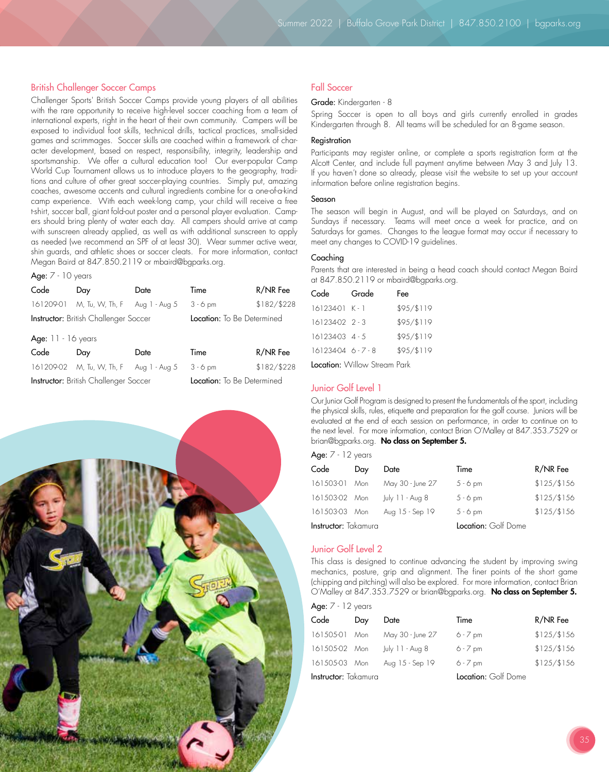#### British Challenger Soccer Camps

Challenger Sports' British Soccer Camps provide young players of all abilities with the rare opportunity to receive high-level soccer coaching from a team of international experts, right in the heart of their own community. Campers will be exposed to individual foot skills, technical drills, tactical practices, small-sided games and scrimmages. Soccer skills are coached within a framework of character development, based on respect, responsibility, integrity, leadership and sportsmanship. We offer a cultural education too! Our ever-popular Camp World Cup Tournament allows us to introduce players to the geography, traditions and culture of other great soccer-playing countries. Simply put, amazing coaches, awesome accents and cultural ingredients combine for a one-of-a-kind camp experience. With each week-long camp, your child will receive a free t-shirt, soccer ball, giant fold-out poster and a personal player evaluation. Campers should bring plenty of water each day. All campers should arrive at camp with sunscreen already applied, as well as with additional sunscreen to apply as needed (we recommend an SPF of at least 30). Wear summer active wear, shin guards, and athletic shoes or soccer cleats. For more information, contact Megan Baird at 847.850.2119 or mbaird@bgparks.org.

#### Age:  $7 - 10$  years

| Code                 | Day                                          | Date                       | Time       | R/NR Fee    |  |
|----------------------|----------------------------------------------|----------------------------|------------|-------------|--|
| 161209-01            | M, Tu, W, Th, F Aug 1 - Aug 5                |                            | $3 - 6$ pm | \$182/\$228 |  |
|                      | <b>Instructor:</b> British Challenger Soccer | Location: To Be Determined |            |             |  |
| Age: $11 - 16$ years |                                              |                            |            |             |  |
| Code                 | Day                                          | Date                       | Time       | R/NR Fee    |  |
| 161209-02            | M, Tu, W, Th, F                              | Aug 1 - Aug 5              | $3 - 6$ pm | \$182/\$228 |  |

Instructor: British Challenger Soccer Location: To Be Determined



#### Fall Soccer

#### Grade: Kindergarten - 8

Spring Soccer is open to all boys and girls currently enrolled in grades Kindergarten through 8. All teams will be scheduled for an 8-game season.

#### Registration

Participants may register online, or complete a sports registration form at the Alcott Center, and include full payment anytime between May 3 and July 13. If you haven't done so already, please visit the website to set up your account information before online registration begins.

#### Season

The season will begin in August, and will be played on Saturdays, and on Sundays if necessary. Teams will meet once a week for practice, and on Saturdays for games. Changes to the league format may occur if necessary to meet any changes to COVID-19 guidelines.

#### Coaching

Parents that are interested in being a head coach should contact Megan Baird at 847.850.2119 or mbaird@bgparks.org.

| Code                 | Grade | Fee        |
|----------------------|-------|------------|
| $16123401$ K - 1     |       | \$95/\$119 |
| $16123402$ 2 - 3     |       | \$95/\$119 |
| 161234-03 4 - 5      |       | \$95/\$119 |
| $161234046 - -7 - 8$ |       | \$95/\$119 |
|                      |       |            |

Location: Willow Stream Park

#### Junior Golf Level 1

Our Junior Golf Program is designed to present the fundamentals of the sport, including the physical skills, rules, etiquette and preparation for the golf course. Juniors will be evaluated at the end of each session on performance, in order to continue on to the next level. For more information, contact Brian O'Malley at 847.353.7529 or brian@bgparks.org. No class on September 5.

| Aqe: |  |  |  | vears |
|------|--|--|--|-------|
|------|--|--|--|-------|

| Code                        | Day | Date             | Time                | R/NR Fee    |
|-----------------------------|-----|------------------|---------------------|-------------|
| 161503-01 Mon               |     | May 30 - June 27 | $5 - 6$ pm          | \$125/\$156 |
| 161503-02 Mon               |     | July 11 - Aug 8  | $5 - 6$ pm          | \$125/\$156 |
| 161503-03 Mon               |     | Aug 15 - Sep 19  | $5 - 6$ pm          | \$125/\$156 |
| <b>Instructor:</b> Takamura |     |                  | Location: Golf Dome |             |

#### Junior Golf Level 2

This class is designed to continue advancing the student by improving swing mechanics, posture, grip and alignment. The finer points of the short game (chipping and pitching) will also be explored. For more information, contact Brian O'Malley at 847.353.7529 or brian@bgparks.org. No class on September 5.

|  |  |  |  | Z years |
|--|--|--|--|---------|
|--|--|--|--|---------|

| Code                        | Day | Date             | Time                | R/NR Fee    |
|-----------------------------|-----|------------------|---------------------|-------------|
| 161505-01                   | Mon | May 30 - June 27 | $6 - 7$ pm          | \$125/\$156 |
| 161505-02 Mon               |     | July 11 - Aug 8  | $6 - 7$ pm          | \$125/\$156 |
| 161505-03 Mon               |     | Aug 15 - Sep 19  | $6 - 7$ pm          | \$125/\$156 |
| <b>Instructor:</b> Takamura |     |                  | Location: Golf Dome |             |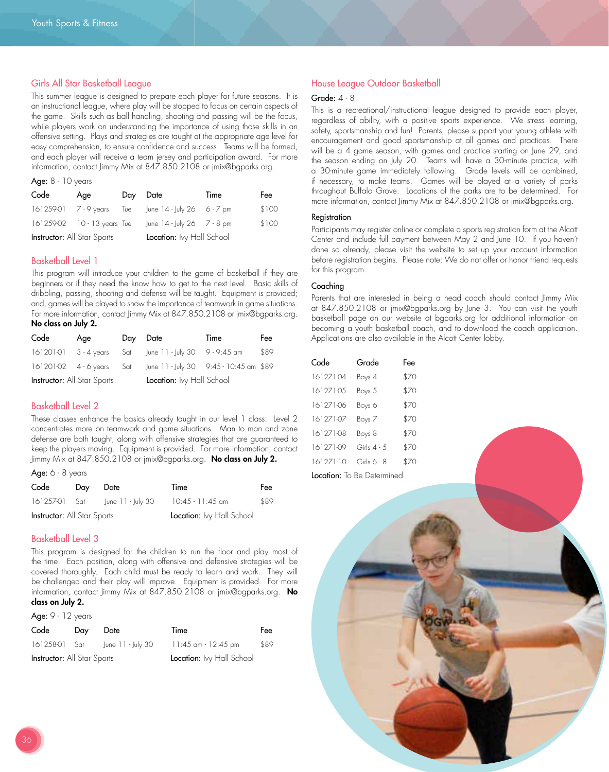#### Girls All Star Basketball League

This summer league is designed to prepare each player for future seasons. It is an instructional league, where play will be stopped to focus on certain aspects of the game. Skills such as ball handling, shooting and passing will be the focus, while players work on understanding the importance of using those skills in an offensive setting. Plays and strategies are taught at the appropriate age level for easy comprehension, to ensure confidence and success. Teams will be formed, and each player will receive a team jersey and participation award. For more information, contact Jimmy Mix at 847.850.2108 or jmix@bgparks.org.

#### Age: 8 - 10 years

| Code                               | Age                           | Day Date |                                        | Time | Fee   |
|------------------------------------|-------------------------------|----------|----------------------------------------|------|-------|
| 161259-01 7 - 9 years              |                               |          | Tue June $14$ - July 26 6 - 7 pm       |      | \$100 |
|                                    | 161259-02   10 - 13 years Tue |          | June $14 - \frac{1}{10}$ 26 $7 - 8$ pm |      | \$100 |
| <b>Instructor:</b> All Star Sports |                               |          | Location: Ivy Hall School              |      |       |

#### Basketball Level 1

This program will introduce your children to the game of basketball if they are beginners or if they need the know how to get to the next level. Basic skills of dribbling, passing, shooting and defense will be taught. Equipment is provided; and, games will be played to show the importance of teamwork in game situations. For more information, contact Jimmy Mix at 847.850.2108 or jmix@bgparks.org. No class on July 2.

| Code                               | Age | Day Date |                                                                      | Time | Fee  |
|------------------------------------|-----|----------|----------------------------------------------------------------------|------|------|
|                                    |     |          | 16120101 3 - 4 years Sat June 11 - July 30 9 - 9:45 am               |      | \$89 |
|                                    |     |          | 161201-02  4 - 6 years  Sat   une 11 -  uly 30  9:45 - 10:45 am \$89 |      |      |
| <b>Instructor:</b> All Star Sports |     |          | <b>Location:</b> Ivy Hall School                                     |      |      |

#### Basketball Level 2

These classes enhance the basics already taught in our level 1 class. Level 2 concentrates more on teamwork and game situations. Man to man and zone defense are both taught, along with offensive strategies that are guaranteed to keep the players moving. Equipment is provided. For more information, contact Jimmy Mix at 847.850.2108 or jmix@bgparks.org. No class on July 2.

Age:  $6 - 8$  years

| Code                               | Day | Date              | Time                      | Fee  |
|------------------------------------|-----|-------------------|---------------------------|------|
| 161257-01 Sat                      |     | June 11 - July 30 | $10:45 - 11:45$ am        | \$89 |
| <b>Instructor:</b> All Star Sports |     |                   | Location: Ivy Hall School |      |

#### Basketball Level 3

This program is designed for the children to run the floor and play most of the time. Each position, along with offensive and defensive strategies will be covered thoroughly. Each child must be ready to learn and work. They will be challenged and their play will improve. Equipment is provided. For more information, contact Jimmy Mix at 847.850.2108 or jmix@bgparks.org. No class on July 2.

#### Age: 9 - 12 years

| Code                               | Day | Date              | Time                      | Fee  |
|------------------------------------|-----|-------------------|---------------------------|------|
| 161258-01 Sat                      |     | lune 11 - luly 30 | 11:45 am - 12:45 pm       | \$89 |
| <b>Instructor:</b> All Star Sports |     |                   | Location: Ivy Hall School |      |

#### House League Outdoor Basketball

#### Grade: 4 - 8

This is a recreational/instructional league designed to provide each player, regardless of ability, with a positive sports experience. We stress learning, safety, sportsmanship and fun! Parents, please support your young athlete with encouragement and good sportsmanship at all games and practices. There will be a 4 game season, with games and practice starting on June 29, and the season ending on July 20. Teams will have a 30-minute practice, with a 30-minute game immediately following. Grade levels will be combined, if necessary, to make teams. Games will be played at a variety of parks throughout Buffalo Grove. Locations of the parks are to be determined. For more information, contact Jimmy Mix at 847.850.2108 or jmix@bgparks.org.

#### **Registration**

Participants may register online or complete a sports registration form at the Alcott Center and include full payment between May 2 and June 10. If you haven't done so already, please visit the website to set up your account information before registration begins. Please note: We do not offer or honor friend requests for this program.

#### Coaching

Parents that are interested in being a head coach should contact Jimmy Mix at 847.850.2108 or jmix@bgparks.org by June 3. You can visit the youth basketball page on our website at bgparks.org for additional information on becoming a youth basketball coach, and to download the coach application. Applications are also available in the Alcott Center lobby.

| Code      | Grade                             | Fee  |
|-----------|-----------------------------------|------|
| 161271-04 | Boys 4                            | \$70 |
| 161271-05 | Boys 5                            | \$70 |
| 161271-06 | Boys 6                            | \$70 |
| 161271-07 | Boys 7                            | \$70 |
| 161271-08 | Boys 8                            | \$70 |
| 161271-09 | Girls $4 - 5$                     | \$70 |
| 161271-10 | Girls $6 - 8$                     | \$70 |
|           | <b>Location:</b> To Be Determined |      |

36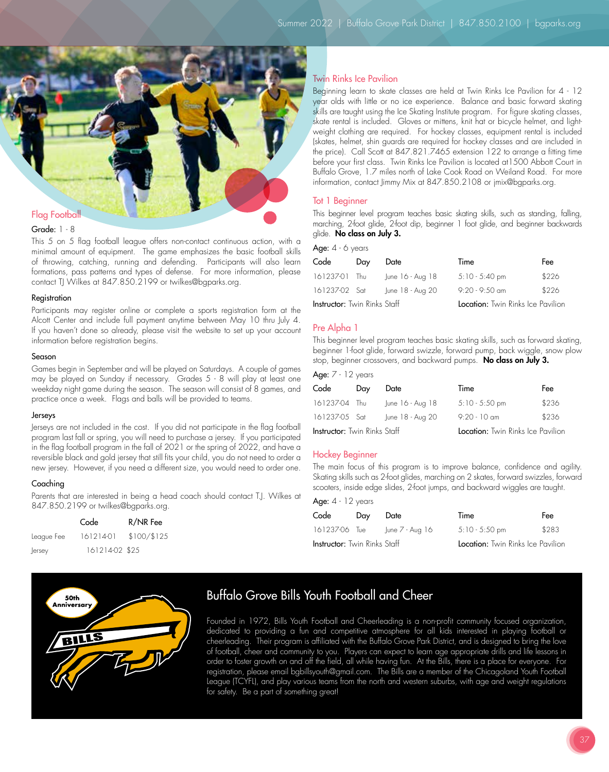

#### Grade: 1 - 8

This 5 on 5 flag football league offers non-contact continuous action, with a minimal amount of equipment. The game emphasizes the basic football skills of throwing, catching, running and defending. Participants will also learn formations, pass patterns and types of defense. For more information, please contact TJ Wilkes at 847.850.2199 or twilkes@bgparks.org.

#### **Registration**

Participants may register online or complete a sports registration form at the Alcott Center and include full payment anytime between May 10 thru July 4. If you haven't done so already, please visit the website to set up your account information before registration begins.

#### Season

Games begin in September and will be played on Saturdays. A couple of games may be played on Sunday if necessary. Grades 5 - 8 will play at least one weekday night game during the season. The season will consist of 8 games, and practice once a week. Flags and balls will be provided to teams.

#### Jerseys

Jerseys are not included in the cost. If you did not participate in the flag football program last fall or spring, you will need to purchase a jersey. If you participated in the flag football program in the fall of 2021 or the spring of 2022, and have a reversible black and gold jersey that still fits your child, you do not need to order a new jersey. However, if you need a different size, you would need to order one.

#### Coaching

Parents that are interested in being a head coach should contact T.J. Wilkes at 847.850.2199 or twilkes@bgparks.org.

|            | Code           | R/NR Fee    |
|------------|----------------|-------------|
| League Fee | 16121401       | \$100/\$125 |
| Jersey     | 161214-02 \$25 |             |



Beginning learn to skate classes are held at Twin Rinks Ice Pavilion for 4 - 12 year olds with little or no ice experience. Balance and basic forward skating skills are taught using the Ice Skating Institute program. For figure skating classes, skate rental is included. Gloves or mittens, knit hat or bicycle helmet, and lightweight clothing are required. For hockey classes, equipment rental is included (skates, helmet, shin guards are required for hockey classes and are included in the price). Call Scott at 847.821.7465 extension 122 to arrange a fitting time before your first class. Twin Rinks Ice Pavilion is located at1500 Abbott Court in Buffalo Grove, 1.7 miles north of Lake Cook Road on Weiland Road. For more information, contact Jimmy Mix at 847.850.2108 or jmix@bgparks.org.

#### Tot 1 Beginner

This beginner level program teaches basic skating skills, such as standing, falling, marching, 2-foot glide, 2-foot dip, beginner 1 foot glide, and beginner backwards glide. No class on July 3.

Age:  $4 - 6$  years

| Code                                | Day | Date             | Time                              | Fee   |
|-------------------------------------|-----|------------------|-----------------------------------|-------|
| 161237-01 Thu                       |     | June 16 - Aug 18 | $5:10 - 5:40$ pm                  | \$226 |
| 161237-02 Sat                       |     | June 18 - Aug 20 | $9:20 - 9:50$ am                  | \$226 |
| <b>Instructor:</b> Twin Rinks Staff |     |                  | Location: Twin Rinks Ice Pavilion |       |

#### Pre Alpha 1

This beginner level program teaches basic skating skills, such as forward skating, beginner 1-foot glide, forward swizzle, forward pump, back wiggle, snow plow stop, beginner crossovers, and backward pumps. No class on July 3.

| Age: $7 - 12$ years                 |     |                  |                                          |       |
|-------------------------------------|-----|------------------|------------------------------------------|-------|
| Code                                | Day | Date             | Time                                     | Fee   |
| 161237-04 Thu                       |     | June 16 - Aug 18 | $5:10 - 5:50$ pm                         | \$236 |
| 161237-05 Sat                       |     | June 18 - Aug 20 | $9:20 - 10$ am                           | \$236 |
| <b>Instructor:</b> Twin Rinks Staff |     |                  | <b>Location:</b> Twin Rinks Ice Pavilion |       |

#### Hockey Beginner

The main focus of this program is to improve balance, confidence and agility. Skating skills such as 2-foot glides, marching on 2 skates, forward swizzles, forward scooters, inside edge slides, 2-foot jumps, and backward wiggles are taught.

| Age: $4 - 12$ years                 |     |                               |                                          |       |  |  |  |
|-------------------------------------|-----|-------------------------------|------------------------------------------|-------|--|--|--|
| Code                                | Day | Date                          | Time                                     | Fee   |  |  |  |
|                                     |     | 161237-06 Tue June 7 - Aug 16 | $5:10 - 5:50$ pm                         | \$283 |  |  |  |
| <b>Instructor:</b> Twin Rinks Staff |     |                               | <b>Location:</b> Twin Rinks Ice Pavilion |       |  |  |  |



### Buffalo Grove Bills Youth Football and Cheer

Founded in 1972, Bills Youth Football and Cheerleading is a non-profit community focused organization, dedicated to providing a fun and competitive atmosphere for all kids interested in playing football or cheerleading. Their program is affiliated with the Buffalo Grove Park District, and is designed to bring the love of football, cheer and community to you. Players can expect to learn age appropriate drills and life lessons in order to foster growth on and off the field, all while having fun. At the Bills, there is a place for everyone. For registration, please email bgbillsyouth@gmail.com. The Bills are a member of the Chicagoland Youth Football League (TCYFL), and play various teams from the north and western suburbs, with age and weight regulations for safety. Be a part of something great!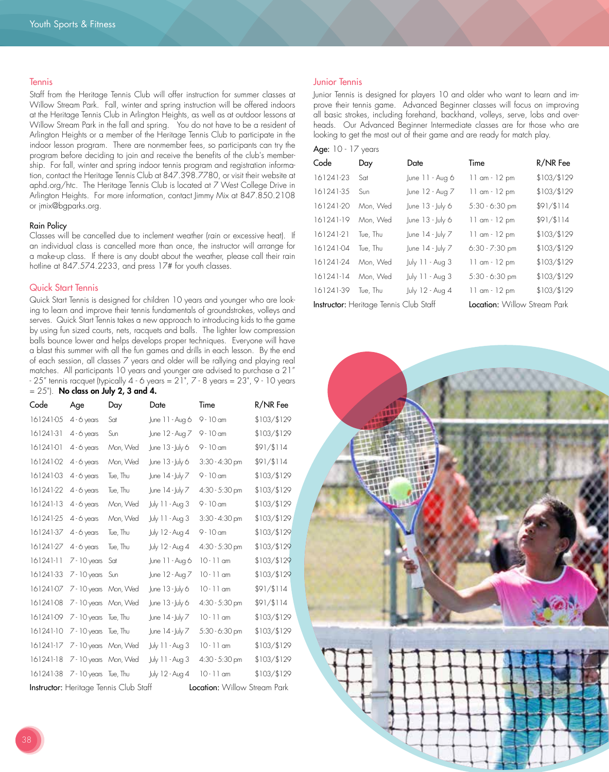#### **Tennis**

Staff from the Heritage Tennis Club will offer instruction for summer classes at Willow Stream Park. Fall, winter and spring instruction will be offered indoors at the Heritage Tennis Club in Arlington Heights, as well as at outdoor lessons at Willow Stream Park in the fall and spring. You do not have to be a resident of Arlington Heights or a member of the Heritage Tennis Club to participate in the indoor lesson program. There are nonmember fees, so participants can try the program before deciding to join and receive the benefits of the club's membership. For fall, winter and spring indoor tennis program and registration information, contact the Heritage Tennis Club at 847.398.7780, or visit their website at aphd.org/htc. The Heritage Tennis Club is located at 7 West College Drive in Arlington Heights. For more information, contact Jimmy Mix at 847.850.2108 or jmix@bgparks.org.

#### Rain Policy

Classes will be cancelled due to inclement weather (rain or excessive heat). If an individual class is cancelled more than once, the instructor will arrange for a make-up class. If there is any doubt about the weather, please call their rain hotline at 847.574.2233, and press 17# for youth classes.

#### Quick Start Tennis

Quick Start Tennis is designed for children 10 years and younger who are looking to learn and improve their tennis fundamentals of groundstrokes, volleys and serves. Quick Start Tennis takes a new approach to introducing kids to the game by using fun sized courts, nets, racquets and balls. The lighter low compression balls bounce lower and helps develops proper techniques. Everyone will have a blast this summer with all the fun games and drills in each lesson. By the end of each session, all classes 7 years and older will be rallying and playing real matches. All participants 10 years and younger are advised to purchase a 21" - 25" tennis racquet (typically 4 - 6 years = 21", 7 - 8 years = 23", 9 - 10 years  $= 25$ "). No class on July 2, 3 and 4.

| Code                                                                          | Age                   | Day      | Date                          | Time             | R/NR Fee    |  |
|-------------------------------------------------------------------------------|-----------------------|----------|-------------------------------|------------------|-------------|--|
| 16124105                                                                      | $4 - 6$ years         | Sat      | June 11 - Aug 6               | $9 - 10$ am      | \$103/\$129 |  |
| 161241-31                                                                     | $4 - 6$ years         | Sun      | June 12 - Aug 7               | $9 - 10$ am      | \$103/\$129 |  |
| 16124101                                                                      | $4 - 6$ years         | Mon, Wed | June 13 - July 6              | $9 - 10$ am      | \$91/\$114  |  |
| 161241-02                                                                     | 4 - 6 years           | Mon, Wed | June 13 - July 6              | $3:30 - 4:30$ pm | \$91/\$114  |  |
| 161241-03                                                                     | 4 - 6 years           | Tue, Thu | June 14 - July 7              | $9 - 10$ am      | \$103/\$129 |  |
| 161241-22                                                                     | $4 - 6$ years         | Tue, Thu | June 14 - July 7              | $4:30 - 5:30$ pm | \$103/\$129 |  |
| 161241-13                                                                     | $4 - 6$ years         | Mon, Wed | July 11 - Aug 3               | $9 - 10$ am      | \$103/\$129 |  |
| 161241-25                                                                     | $4 - 6$ years         | Mon, Wed | July 11 - Aug 3               | $3:30 - 4:30$ pm | \$103/\$129 |  |
| 161241-37                                                                     | 4 - 6 years           | Tue, Thu | July 12 - Aug 4               | $9 - 10$ am      | \$103/\$129 |  |
| 161241-27                                                                     | $4 - 6$ years         | Tue, Thu | July 12 - Aug 4               | 4:30 - 5:30 pm   | \$103/\$129 |  |
| $161241-11$                                                                   | $7 - 10$ years        | Sat      | June 11 - Aug 6               | $10 - 11$ am     | \$103/\$129 |  |
| 161241-33                                                                     | $7 - 10$ years        | Sun      | June 12 - Aug 7               | 10 - 11 am       | \$103/\$129 |  |
| 161241-07                                                                     | 7 - 10 years Mon, Wed |          | June 13 - July 6              | $10 - 11$ am     | \$91/\$114  |  |
| 161241-08                                                                     | 7 - 10 years Mon, Wed |          | $ $ une 13 - $ $ u $\sqrt{6}$ | $4:30 - 5:30$ pm | \$91/\$114  |  |
| 161241-09                                                                     | $7 - 10$ years        | Tue, Thu | June 14 - July 7              | $10 - 11$ am     | \$103/\$129 |  |
| 161241-10                                                                     | 7 - 10 years Tue, Thu |          | June 14 - July 7              | $5:30 - 6:30$ pm | \$103/\$129 |  |
| 161241-17                                                                     | 7 - 10 years Mon, Wed |          | July 11 - Aug 3               | $10 - 11$ am     | \$103/\$129 |  |
| 161241-18                                                                     | 7 - 10 years Mon, Wed |          | July 11 - Aug 3               | $4:30 - 5:30$ pm | \$103/\$129 |  |
| 161241-38                                                                     | 7 - 10 years Tue, Thu |          | July 12 - Aug 4               | $10 - 11$ am     | \$103/\$129 |  |
| Instructor: Heritage Tennis Club Staff<br><b>Location:</b> Willow Stream Park |                       |          |                               |                  |             |  |

#### Junior Tennis

Junior Tennis is designed for players 10 and older who want to learn and improve their tennis game. Advanced Beginner classes will focus on improving all basic strokes, including forehand, backhand, volleys, serve, lobs and overheads. Our Advanced Beginner Intermediate classes are for those who are looking to get the most out of their game and are ready for match play.

|  | Age: 1( |  |  | vears |
|--|---------|--|--|-------|
|--|---------|--|--|-------|

| Code                                                                                 | Day      | Date                           | Time             | R/NR Fee    |  |
|--------------------------------------------------------------------------------------|----------|--------------------------------|------------------|-------------|--|
| 161241-23                                                                            | Sat      | June 11 - Aug 6                | $11$ am $-12$ pm | \$103/\$129 |  |
| 161241-35                                                                            | Sun      | June 12 - Aug 7                | $11$ am $-12$ pm | \$103/\$129 |  |
| 161241-20                                                                            | Mon, Wed | June $13 -$ July 6             | $5:30 - 6:30$ pm | \$91/\$114  |  |
| 161241-19                                                                            | Mon, Wed | June $13 -$ July 6             | $11$ am $-12$ pm | \$91/\$114  |  |
| 161241-21                                                                            | Tue, Thu | June $14 - \text{Ju} \sqrt{7}$ | $11$ am $-12$ pm | \$103/\$129 |  |
| 161241-04                                                                            | Tue, Thu | June $14 - \frac{1}{2}$ uly 7  | $6:30 - 7:30$ pm | \$103/\$129 |  |
| 161241-24                                                                            | Mon, Wed | July 11 - Aug 3                | $11$ am $-12$ pm | \$103/\$129 |  |
| $161241-14$                                                                          | Mon, Wed | July 11 - Aug 3                | 5:30 - 6:30 pm   | \$103/\$129 |  |
| 161241-39                                                                            | Tue. Thu | July 12 - Aug 4                | $11$ am $-12$ pm | \$103/\$129 |  |
| <b>Location:</b> Willow Stream Park<br><b>Instructor:</b> Heritage Tennis Club Staff |          |                                |                  |             |  |